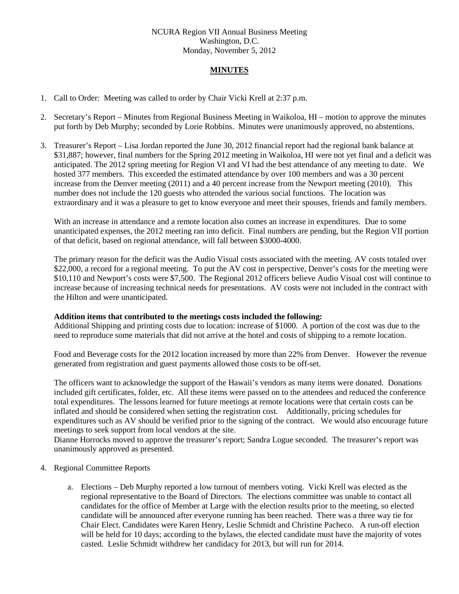## NCURA Region VII Annual Business Meeting Washington, D.C. Monday, November 5, 2012

# **MINUTES**

- 1. Call to Order: Meeting was called to order by Chair Vicki Krell at 2:37 p.m.
- 2. Secretary's Report Minutes from Regional Business Meeting in Waikoloa, HI motion to approve the minutes put forth by Deb Murphy; seconded by Lorie Robbins. Minutes were unanimously approved, no abstentions.
- 3. Treasurer's Report Lisa Jordan reported the June 30, 2012 financial report had the regional bank balance at \$31,887; however, final numbers for the Spring 2012 meeting in Waikoloa, HI were not yet final and a deficit was anticipated. The 2012 spring meeting for Region VI and VI had the best attendance of any meeting to date. We hosted 377 members. This exceeded the estimated attendance by over 100 members and was a 30 percent increase from the Denver meeting (2011) and a 40 percent increase from the Newport meeting (2010). This number does not include the 120 guests who attended the various social functions. The location was extraordinary and it was a pleasure to get to know everyone and meet their spouses, friends and family members.

With an increase in attendance and a remote location also comes an increase in expenditures. Due to some unanticipated expenses, the 2012 meeting ran into deficit. Final numbers are pending, but the Region VII portion of that deficit, based on regional attendance, will fall between \$3000-4000.

The primary reason for the deficit was the Audio Visual costs associated with the meeting. AV costs totaled over \$22,000, a record for a regional meeting. To put the AV cost in perspective, Denver's costs for the meeting were \$10,110 and Newport's costs were \$7,500. The Regional 2012 officers believe Audio Visual cost will continue to increase because of increasing technical needs for presentations. AV costs were not included in the contract with the Hilton and were unanticipated.

#### **Addition items that contributed to the meetings costs included the following:**

Additional Shipping and printing costs due to location: increase of \$1000. A portion of the cost was due to the need to reproduce some materials that did not arrive at the hotel and costs of shipping to a remote location.

Food and Beverage costs for the 2012 location increased by more than 22% from Denver. However the revenue generated from registration and guest payments allowed those costs to be off-set.

The officers want to acknowledge the support of the Hawaii's vendors as many items were donated. Donations included gift certificates, folder, etc. All these items were passed on to the attendees and reduced the conference total expenditures. The lessons learned for future meetings at remote locations were that certain costs can be inflated and should be considered when setting the registration cost. Additionally, pricing schedules for expenditures such as AV should be verified prior to the signing of the contract. We would also encourage future meetings to seek support from local vendors at the site.

Dianne Horrocks moved to approve the treasurer's report; Sandra Logue seconded. The treasurer's report was unanimously approved as presented.

- 4. Regional Committee Reports
	- a. Elections Deb Murphy reported a low turnout of members voting. Vicki Krell was elected as the regional representative to the Board of Directors. The elections committee was unable to contact all candidates for the office of Member at Large with the election results prior to the meeting, so elected candidate will be announced after everyone running has been reached. There was a three way tie for Chair Elect. Candidates were Karen Henry, Leslie Schmidt and Christine Pacheco. A run-off election will be held for 10 days; according to the bylaws, the elected candidate must have the majority of votes casted. Leslie Schmidt withdrew her candidacy for 2013, but will run for 2014.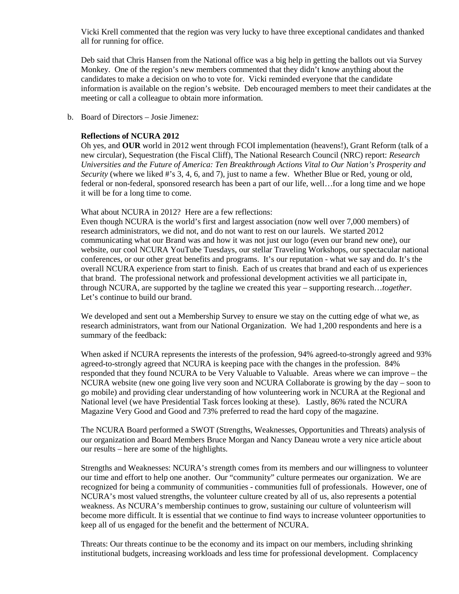Vicki Krell commented that the region was very lucky to have three exceptional candidates and thanked all for running for office.

Deb said that Chris Hansen from the National office was a big help in getting the ballots out via Survey Monkey. One of the region's new members commented that they didn't know anything about the candidates to make a decision on who to vote for. Vicki reminded everyone that the candidate information is available on the region's website. Deb encouraged members to meet their candidates at the meeting or call a colleague to obtain more information.

b. Board of Directors – Josie Jimenez:

## **Reflections of NCURA 2012**

Oh yes, and **OUR** world in 2012 went through FCOI implementation (heavens!), Grant Reform (talk of a new circular), Sequestration (the Fiscal Cliff), The National Research Council (NRC) report: *Research Universities and the Future of America: Ten Breakthrough Actions Vital to Our Nation's Prosperity and Security* (where we liked #'s 3, 4, 6, and 7)*,* just to name a few. Whether Blue or Red, young or old, federal or non-federal, sponsored research has been a part of our life, well…for a long time and we hope it will be for a long time to come.

What about NCURA in 2012? Here are a few reflections:

Even though NCURA is the world's first and largest association (now well over 7,000 members) of research administrators, we did not, and do not want to rest on our laurels. We started 2012 communicating what our Brand was and how it was not just our logo (even our brand new one), our website, our cool NCURA YouTube Tuesdays, our stellar Traveling Workshops, our spectacular national conferences, or our other great benefits and programs. It's our reputation - what we say and do. It's the overall NCURA experience from start to finish. Each of us creates that brand and each of us experiences that brand. The professional network and professional development activities we all participate in, through NCURA, are supported by the tagline we created this year – supporting research…*together*. Let's continue to build our brand.

We developed and sent out a Membership Survey to ensure we stay on the cutting edge of what we, as research administrators, want from our National Organization. We had 1,200 respondents and here is a summary of the feedback:

When asked if NCURA represents the interests of the profession, 94% agreed-to-strongly agreed and 93% agreed-to-strongly agreed that NCURA is keeping pace with the changes in the profession. 84% responded that they found NCURA to be Very Valuable to Valuable. Areas where we can improve – the NCURA website (new one going live very soon and NCURA Collaborate is growing by the day – soon to go mobile) and providing clear understanding of how volunteering work in NCURA at the Regional and National level (we have Presidential Task forces looking at these). Lastly, 86% rated the NCURA Magazine Very Good and Good and 73% preferred to read the hard copy of the magazine.

The NCURA Board performed a SWOT (Strengths, Weaknesses, Opportunities and Threats) analysis of our organization and Board Members Bruce Morgan and Nancy Daneau wrote a very nice article about our results – here are some of the highlights.

Strengths and Weaknesses: NCURA's strength comes from its members and our willingness to volunteer our time and effort to help one another. Our "community" culture permeates our organization. We are recognized for being a community of communities - communities full of professionals. However, one of NCURA's most valued strengths, the volunteer culture created by all of us, also represents a potential weakness. As NCURA's membership continues to grow, sustaining our culture of volunteerism will become more difficult. It is essential that we continue to find ways to increase volunteer opportunities to keep all of us engaged for the benefit and the betterment of NCURA.

Threats: Our threats continue to be the economy and its impact on our members, including shrinking institutional budgets, increasing workloads and less time for professional development. Complacency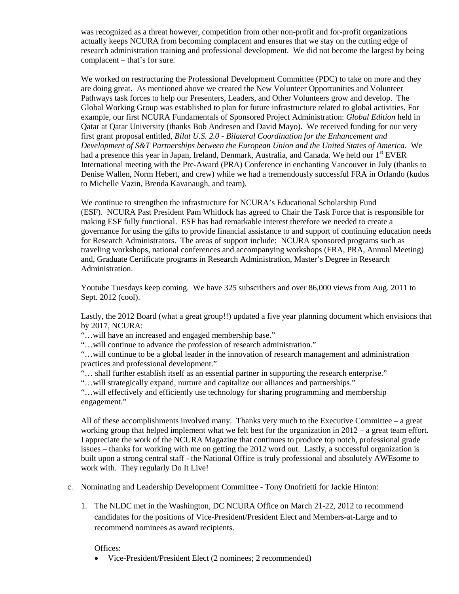was recognized as a threat however, competition from other non-profit and for-profit organizations actually keeps NCURA from becoming complacent and ensures that we stay on the cutting edge of research administration training and professional development. We did not become the largest by being complacent – that's for sure.

We worked on restructuring the Professional Development Committee (PDC) to take on more and they are doing great. As mentioned above we created the New Volunteer Opportunities and Volunteer Pathways task forces to help our Presenters, Leaders, and Other Volunteers grow and develop. The Global Working Group was established to plan for future infrastructure related to global activities. For example, our first NCURA Fundamentals of Sponsored Project Administration: *Global Edition* held in Qatar at Qatar University (thanks Bob Andresen and David Mayo). We received funding for our very first grant proposal entitled, *Bilat U.S. 2.0 - Bilateral Coordination for the Enhancement and Development of S&T Partnerships between the European Union and the United States of America.* We had a presence this year in Japan, Ireland, Denmark, Australia, and Canada. We held our 1<sup>st</sup> EVER International meeting with the Pre-Award (PRA) Conference in enchanting Vancouver in July (thanks to Denise Wallen, Norm Hebert, and crew) while we had a tremendously successful FRA in Orlando (kudos to Michelle Vazin, Brenda Kavanaugh, and team).

We continue to strengthen the infrastructure for NCURA's Educational Scholarship Fund (ESF). NCURA Past President Pam Whitlock has agreed to Chair the Task Force that is responsible for making ESF fully functional. ESF has had remarkable interest therefore we needed to create a governance for using the gifts to provide financial assistance to and support of continuing education needs for Research Administrators. The areas of support include: NCURA sponsored programs such as traveling workshops, national conferences and accompanying workshops (FRA, PRA, Annual Meeting) and, Graduate Certificate programs in Research Administration, Master's Degree in Research Administration.

Youtube Tuesdays keep coming. We have 325 subscribers and over 86,000 views from Aug. 2011 to Sept. 2012 (cool).

Lastly, the 2012 Board (what a great group!!) updated a five year planning document which envisions that by 2017, NCURA:

"…will have an increased and engaged membership base."

"…will continue to advance the profession of research administration."

"…will continue to be a global leader in the innovation of research management and administration practices and professional development."

"… shall further establish itself as an essential partner in supporting the research enterprise."

"…will strategically expand, nurture and capitalize our alliances and partnerships."

"…will effectively and efficiently use technology for sharing programming and membership engagement."

All of these accomplishments involved many. Thanks very much to the Executive Committee – a great working group that helped implement what we felt best for the organization in 2012 – a great team effort. I appreciate the work of the NCURA Magazine that continues to produce top notch, professional grade issues – thanks for working with me on getting the 2012 word out. Lastly, a successful organization is built upon a strong central staff - the National Office is truly professional and absolutely AWEsome to work with. They regularly Do It Live!

- c. Nominating and Leadership Development Committee Tony Onofrietti for Jackie Hinton:
	- 1. The NLDC met in the Washington, DC NCURA Office on March 21-22, 2012 to recommend candidates for the positions of Vice-President/President Elect and Members-at-Large and to recommend nominees as award recipients.

Offices:

• Vice-President/President Elect (2 nominees; 2 recommended)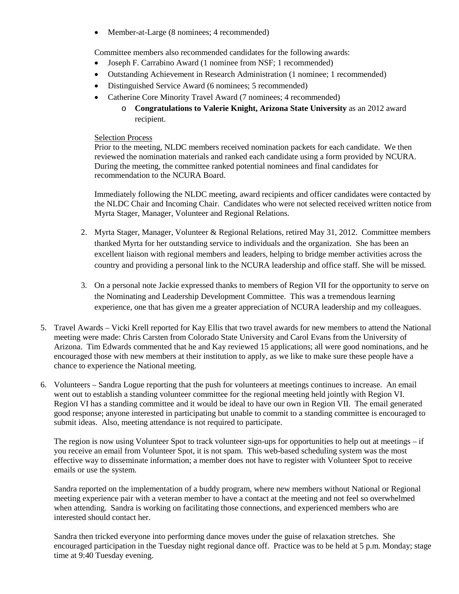• Member-at-Large (8 nominees; 4 recommended)

Committee members also recommended candidates for the following awards:

- Joseph F. Carrabino Award (1 nominee from NSF; 1 recommended)
- Outstanding Achievement in Research Administration (1 nominee; 1 recommended)
- Distinguished Service Award (6 nominees; 5 recommended)
- Catherine Core Minority Travel Award (7 nominees; 4 recommended)
	- o **Congratulations to Valerie Knight, Arizona State University** as an 2012 award recipient.

## Selection Process

Prior to the meeting, NLDC members received nomination packets for each candidate. We then reviewed the nomination materials and ranked each candidate using a form provided by NCURA. During the meeting, the committee ranked potential nominees and final candidates for recommendation to the NCURA Board.

Immediately following the NLDC meeting, award recipients and officer candidates were contacted by the NLDC Chair and Incoming Chair. Candidates who were not selected received written notice from Myrta Stager, Manager, Volunteer and Regional Relations.

- 2. Myrta Stager, Manager, Volunteer & Regional Relations, retired May 31, 2012. Committee members thanked Myrta for her outstanding service to individuals and the organization. She has been an excellent liaison with regional members and leaders, helping to bridge member activities across the country and providing a personal link to the NCURA leadership and office staff. She will be missed.
- 3. On a personal note Jackie expressed thanks to members of Region VII for the opportunity to serve on the Nominating and Leadership Development Committee. This was a tremendous learning experience, one that has given me a greater appreciation of NCURA leadership and my colleagues.
- 5. Travel Awards Vicki Krell reported for Kay Ellis that two travel awards for new members to attend the National meeting were made: Chris Carsten from Colorado State University and Carol Evans from the University of Arizona. Tim Edwards commented that he and Kay reviewed 15 applications; all were good nominations, and he encouraged those with new members at their institution to apply, as we like to make sure these people have a chance to experience the National meeting.
- 6. Volunteers Sandra Logue reporting that the push for volunteers at meetings continues to increase. An email went out to establish a standing volunteer committee for the regional meeting held jointly with Region VI. Region VI has a standing committee and it would be ideal to have our own in Region VII. The email generated good response; anyone interested in participating but unable to commit to a standing committee is encouraged to submit ideas. Also, meeting attendance is not required to participate.

The region is now using Volunteer Spot to track volunteer sign-ups for opportunities to help out at meetings – if you receive an email from Volunteer Spot, it is not spam. This web-based scheduling system was the most effective way to disseminate information; a member does not have to register with Volunteer Spot to receive emails or use the system.

Sandra reported on the implementation of a buddy program, where new members without National or Regional meeting experience pair with a veteran member to have a contact at the meeting and not feel so overwhelmed when attending. Sandra is working on facilitating those connections, and experienced members who are interested should contact her.

Sandra then tricked everyone into performing dance moves under the guise of relaxation stretches. She encouraged participation in the Tuesday night regional dance off. Practice was to be held at 5 p.m. Monday; stage time at 9:40 Tuesday evening.